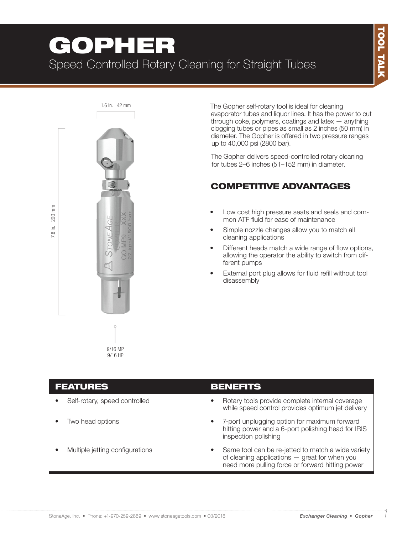# GOPHER Speed Controlled Rotary Cleaning for Straight Tubes



The Gopher self-rotary tool is ideal for cleaning evaporator tubes and liquor lines. It has the power to cut through coke, polymers, coatings and latex — anything clogging tubes or pipes as small as 2 inches (50 mm) in diameter. The Gopher is offered in two pressure ranges up to 40,000 psi (2800 bar).

The Gopher delivers speed-controlled rotary cleaning for tubes 2–6 inches (51–152 mm) in diameter.

## COMPETITIVE ADVANTAGES

- Low cost high pressure seats and seals and common ATF fluid for ease of maintenance
- Simple nozzle changes allow you to match all cleaning applications
- Different heads match a wide range of flow options, allowing the operator the ability to switch from different pumps
- External port plug allows for fluid refill without tool disassembly

| <b>FEATURES</b> |                                 |           | <b>BENEFITS</b>                                                                                                                                         |  |
|-----------------|---------------------------------|-----------|---------------------------------------------------------------------------------------------------------------------------------------------------------|--|
|                 | Self-rotary, speed controlled   | $\bullet$ | Rotary tools provide complete internal coverage<br>while speed control provides optimum jet delivery                                                    |  |
|                 | Two head options                | ٠         | 7-port unplugging option for maximum forward<br>hitting power and a 6-port polishing head for IRIS<br>inspection polishing                              |  |
|                 | Multiple jetting configurations |           | Same tool can be re-jetted to match a wide variety<br>of cleaning applications - great for when you<br>need more pulling force or forward hitting power |  |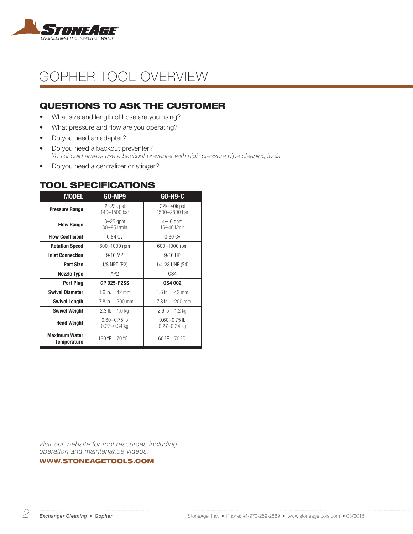

# GOPHER TOOL OVERVIEW

## QUESTIONS TO ASK THE CUSTOMER

- What size and length of hose are you using?
- What pressure and flow are you operating?
- Do you need an adapter?
- Do you need a backout preventer? *You should always use a backout preventer with high pressure pipe cleaning tools.*
- Do you need a centralizer or stinger?

| <b>MODEL</b>                        | GO-MP9                                 | GO-H9-C                              |  |
|-------------------------------------|----------------------------------------|--------------------------------------|--|
| <b>Pressure Range</b>               | $2-22k$ psi<br>140-1500 bar            | 22k-40k psi<br>1500-2800 bar         |  |
| <b>Flow Range</b>                   | $8-25$ gpm<br>30-95 l/min              | $4-10$ gpm<br>$15 - 40$ I/min        |  |
| <b>Flow Coefficient</b>             | 0.84 <sub>Cv</sub>                     | 0.30Cv                               |  |
| <b>Rotation Speed</b>               | 600-1000 rpm                           | 600-1000 rpm                         |  |
| <b>Inlet Connection</b>             | 9/16 MP                                | $9/16$ HP                            |  |
| <b>Port Size</b>                    | 1/8 NPT (P2)                           | 1/4-28 UNF (S4)                      |  |
| <b>Nozzle Type</b>                  | AP <sub>2</sub>                        | OS4                                  |  |
| <b>Port Plug</b>                    | <b>GP 025-P2SS</b>                     | <b>0S4002</b>                        |  |
| <b>Swivel Diameter</b>              | 1.6 in.<br>42 mm                       | $1.6$ in.<br>42 mm                   |  |
| <b>Swivel Length</b>                | 7.8 in.<br>$200$ mm                    | 7.8 in.<br>200 mm                    |  |
| <b>Swivel Weight</b>                | 2.3 <sub>lb</sub><br>1.0 <sub>kq</sub> | 2.6 <sub>lb</sub><br>$1.2$ kg        |  |
| <b>Head Weight</b>                  | $0.60 - 0.75$ lb<br>$0.27 - 0.34$ kg   | $0.60 - 0.75$ lb<br>$0.27 - 0.34$ kg |  |
| <b>Maximum Water</b><br>Temperature | 160 °F<br>70 °C                        | 160 °F<br>70 °C                      |  |

### TOOL SPECIFICATIONS

*Visit our website for tool resources including operation and maintenance videos:* 

WWW.STONEAGETOOLS.COM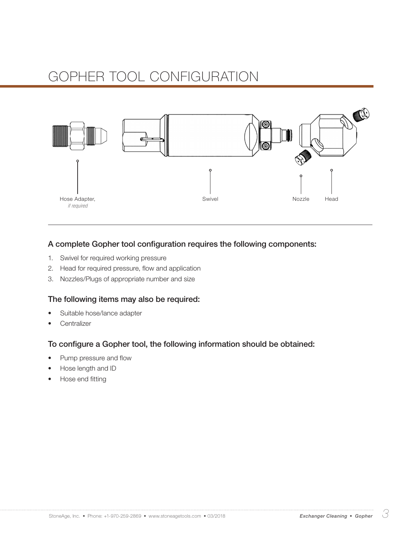

### A complete Gopher tool configuration requires the following components:

- 1. Swivel for required working pressure
- 2. Head for required pressure, flow and application
- 3. Nozzles/Plugs of appropriate number and size

#### The following items may also be required:

- Suitable hose/lance adapter
- **Centralizer**

### To configure a Gopher tool, the following information should be obtained:

- Pump pressure and flow
- Hose length and ID
- Hose end fitting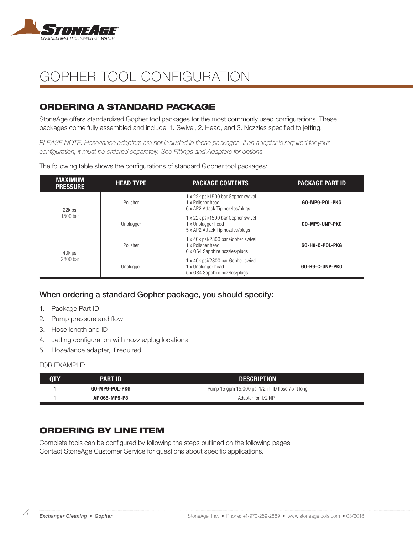

## ORDERING A STANDARD PACKAGE

StoneAge offers standardized Gopher tool packages for the most commonly used configurations. These packages come fully assembled and include: 1. Swivel, 2. Head, and 3. Nozzles specified to jetting.

*PLEASE NOTE: Hose/lance adapters are not included in these packages. If an adapter is required for your configuration, it must be ordered separately. See Fittings and Adapters for options.*

| <b>MAXIMUM</b><br><b>PRESSURE</b> | <b>HEAD TYPE</b> | <b>PACKAGE CONTENTS</b>                                                                      | <b>PACKAGE PART ID</b> |
|-----------------------------------|------------------|----------------------------------------------------------------------------------------------|------------------------|
| 22k psi                           | Polisher         | 1 x 22k psi/1500 bar Gopher swivel<br>1 x Polisher head<br>6 x AP2 Attack Tip nozzles/plugs  | GO-MP9-POL-PKG         |
| 1500 bar                          | Unplugger        | 1 x 22k psi/1500 bar Gopher swivel<br>1 x Unplugger head<br>5 x AP2 Attack Tip nozzles/plugs | GO-MP9-UNP-PKG         |
| 40k psi                           | Polisher         | 1 x 40k psi/2800 bar Gopher swivel<br>1 x Polisher head<br>6 x OS4 Sapphire nozzles/plugs    | GO-H9-C-POL-PKG        |
| 2800 bar                          | Unplugger        | 1 x 40k psi/2800 bar Gopher swivel<br>1 x Unplugger head<br>5 x OS4 Sapphire nozzles/plugs   | GO-H9-C-UNP-PKG        |

The following table shows the configurations of standard Gopher tool packages:

### When ordering a standard Gopher package, you should specify:

- 1. Package Part ID
- 2. Pump pressure and flow
- 3. Hose length and ID
- 4. Jetting configuration with nozzle/plug locations
- 5. Hose/lance adapter, if required

#### FOR FXAMPLE:

| 0TY | PART ID        | <b>DESCRIPTION</b>                                |
|-----|----------------|---------------------------------------------------|
|     | GO-MP9-POL-PKG | Pump 15 gpm 15,000 psi 1/2 in. ID hose 75 ft long |
|     | AF 065-MP9-P8  | Adapter for 1/2 NPT                               |

### ORDERING BY LINE ITEM

Complete tools can be configured by following the steps outlined on the following pages. Contact StoneAge Customer Service for questions about specific applications.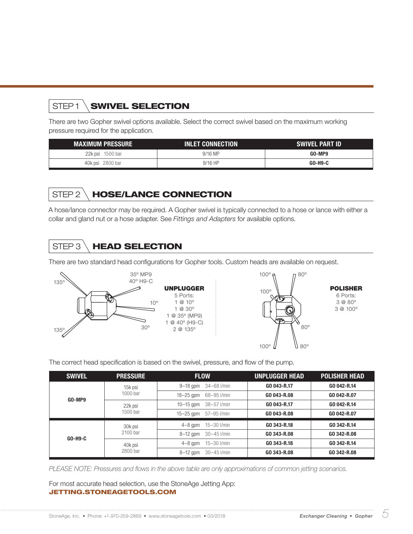# STEP1 **SWIVEL SELECTION**

There are two Gopher swivel options available. Select the correct swivel based on the maximum working pressure required for the application.

| <b>MAXIMUM PRESSURE</b> | <b>INLET CONNECTION</b> | <b>SWIVEL PART ID</b> |
|-------------------------|-------------------------|-----------------------|
| 22k psi 1500 bar        | $9/16$ MP               | GO-MP9                |
| 40k psi 2800 bar        | $9/16$ HP               | GO-H9-C               |

## STEP 2 \ HOSE/LANCE CONNECTION

A hose/lance connector may be required. A Gopher swivel is typically connected to a hose or lance with either a collar and gland nut or a hose adapter. See *Fittings and Adapters* for available options.

# STEP 3 \ HEAD SELECTION

There are two standard head configurations for Gopher tools. Custom heads are available on request.





POLISHER 6 Ports: 3 @ 80º 3 @ 100º

The correct head specification is based on the swivel, pressure, and flow of the pump.

| <b>SWIVEL</b> | <b>PRESSURE</b>     | <b>FLOW</b>                   | <b>UNPLUGGER HEAD</b> | <b>POLISHER HEAD</b> |
|---------------|---------------------|-------------------------------|-----------------------|----------------------|
|               | 15k psi<br>1000 bar | 34-68 l/min<br>$9-18$ gpm     | GO 043-R.17           | GO 042-R.14          |
| GO-MP9        |                     | $18-25$ gpm<br>68-95 l/min    | GO 043-R.08           | GO 042-R.07          |
|               | 22k psi             | $10 - 15$ gpm<br>38-57 I/min  | GO 043-R.17           | GO 042-R.14          |
|               | 1500 bar            | $15 - 25$ gpm<br>57-95 l/min  | GO 043-R.08           | GO 042-R.07          |
|               | 30k psi             | 15-30 I/min<br>$4-8$ gpm      | GO 343-R.18           | GO 342-R.14          |
| GO-H9-C       | 2100 bar            | $8-12$ gpm<br>30-45 l/min     | GO 343-R.08           | GO 342-R.08          |
|               | 40k psi             | 15-30 l/min<br>$4-8$ gpm      | GO 343-R.18           | GO 342-R.14          |
|               | 2800 bar            | $30 - 45$ I/min<br>$8-12$ gpm | GO 343-R.08           | GO 342-R.08          |

*PLEASE NOTE: Pressures and flows in the above table are only approximations of common jetting scenarios.* 

For most accurate head selection, use the StoneAge Jetting App: JETTING.STONEAGETOOLS.COM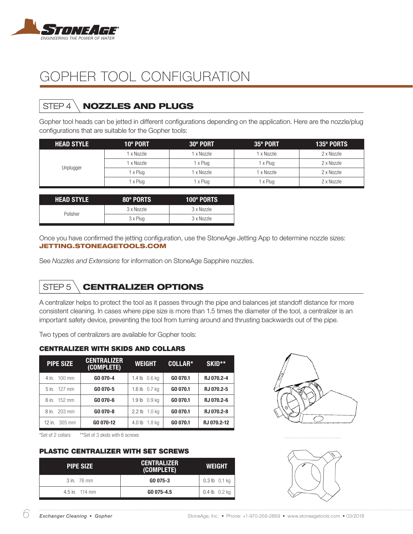

# STEP 4 \ **NOZZLES AND PLUGS**

Gopher tool heads can be jetted in different configurations depending on the application. Here are the nozzle/plug configurations that are suitable for the Gopher tools:

| <b>HEAD STYLE</b> | 10° PORT | 30° PORT | 35° PORT   | 135° PORTS |
|-------------------|----------|----------|------------|------------|
|                   | x Nozzle | x Nozzle | 1 x Nozzle | 2 x Nozzle |
|                   | x Nozzle | 1 x Plug | 1 x Plug   | 2 x Nozzle |
| Unplugger         | x Plug   | x Nozzle | 1 x Nozzle | 2 x Nozzle |
|                   | x Plug   | 1 x Plug | 1 x Plug   | 2 x Nozzle |

| <b>HEAD STYLE</b> | 80° PORTS  | <b>100º PORTS</b> |
|-------------------|------------|-------------------|
| Polisher          | 3 x Nozzle | 3 x Nozzle        |
|                   | 3 x Plug   | 3 x Nozzle        |

Once you have confirmed the jetting configuration, use the StoneAge Jetting App to determine nozzle sizes: JETTING.STONEAGETOOLS.COM

See *Nozzles and Extensions* for information on StoneAge Sapphire nozzles.

# STEP 5 \ **CENTRALIZER OPTIONS**

A centralizer helps to protect the tool as it passes through the pipe and balances jet standoff distance for more consistent cleaning. In cases where pipe size is more than 1.5 times the diameter of the tool, a centralizer is an important safety device, preventing the tool from turning around and thrusting backwards out of the pipe.

Two types of centralizers are available for Gopher tools:

#### CENTRALIZER WITH SKIDS AND COLLARS

| <b>PIPE SIZE</b>        | <b>CENTRALIZER</b><br>(COMPLETE) | <b>WEIGHT</b>               | COLLAR*  | <b>SKID**</b> |
|-------------------------|----------------------------------|-----------------------------|----------|---------------|
| 4 in. 100 mm            | GO 070-4                         | 1.4 $lb$ 0.6 $kq$           | GO 070.1 | RJ 070.2-4    |
| 5 in. 127 mm            | GO 070-5                         | 1.6 lb 0.7 kg               | GO 070.1 | RJ 070.2-5    |
| 6 in. 152 mm            | GO 070-6                         | 1.9 lb 0.9 kg               | GO 070.1 | RJ 070.2-6    |
| 8 in. 203 mm            | GO 070-8                         | 1.0 ka<br>2.2 <sub>lb</sub> | GO 070.1 | RJ 070.2-8    |
| 12 in. $305 \text{ mm}$ | GO 070-12                        | 1.8 ka<br>4.0 lb            | GO 070.1 | RJ 070.2-12   |

\*Set of 2 collars \*\*Set of 3 skids with 6 screws

#### PLASTIC CENTRALIZER WITH SET SCREWS

| <b>PIPE SIZE</b> | <b>CENTRALIZER</b><br>(COMPLETE) | <b>WEIGHT</b>     |
|------------------|----------------------------------|-------------------|
| $3$ in. $76$ mm  | GO 075-3                         | $0.3$ lb $0.1$ kg |
| 4.5 in. 114 mm   | GO 075-4.5                       | $0.4$ lb $0.2$ kg |



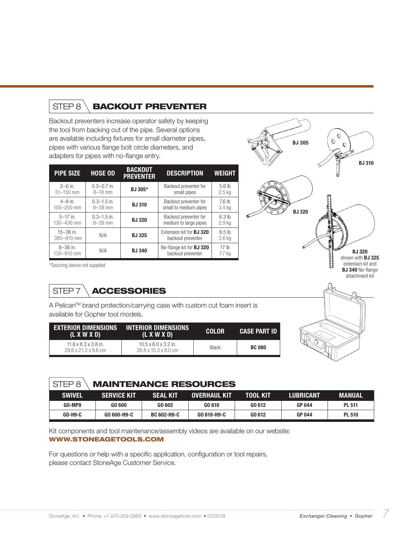# STEP 8 \**BACKOUT PREVENTER**

Backout preventers increase operator safety by keeping the tool from backing out of the pipe. Several options are available including fixtures for small diameter pipes, pipes with various flange bolt circle diameters, and adapters for pipes with no-flange entry.

| <b>PIPE SIZE</b>            | <b>HOSE OD</b>  | <b>BACKOUT</b><br><b>PREVENTER</b> | <b>DESCRIPTION</b>                                   | <b>WEIGHT</b>              |
|-----------------------------|-----------------|------------------------------------|------------------------------------------------------|----------------------------|
| $2 - 6$ in.                 | $0.3 - 0.7$ in. | BJ 305*                            | Backout preventer for                                | 5.6 <sub>h</sub>           |
| $51 - 150$ mm               | $8 - 18$ mm     |                                    | small pipes                                          | $2.5$ kg                   |
| $4 - 8$ in.                 | $0.3 - 1.5$ in. | <b>BJ310</b>                       | Backout preventer for                                | 7.6 <sub>h</sub>           |
| 100-200 mm                  | $8 - 38$ mm     |                                    | small to medium pipes                                | 3.4 kg                     |
| $5-17$ in.                  | $0.3 - 1.5$ in. | <b>BJ320</b>                       | Backout preventer for                                | 6.3 <sub>h</sub>           |
| $130 - 430$ mm              | $8 - 38$ mm     |                                    | medium to large pipes                                | 2.9 <sub>kg</sub>          |
| $15 - 36$ in.<br>380-910 mm | N/A             | <b>BJ325</b>                       | Extension kit for <b>BJ 320</b><br>backout preventer | 8.5 <sub>h</sub><br>3.6 kg |
| $8 - 36$ in.<br>130-910 mm  | N/A             | <b>BJ340</b>                       | No-flange kit for <b>BJ 320</b><br>backout preventer | 17 <sub>lh</sub><br>7.7 kg |



\*Securing device not supplied

# STEP 7 \**ACCESSORIES**

A Pelican™ brand protection/carrying case with custom cut foam insert is available for Gopher tool models.

| <b>EXTERIOR DIMENSIONS</b><br>(L X W X D)                            | INTERIOR DIMENSIONS.<br>(L X W X D)                                          | <b>COLOR</b> | <b>CASE PART ID</b> |
|----------------------------------------------------------------------|------------------------------------------------------------------------------|--------------|---------------------|
| $11.6 \times 8.3 \times 3.8$ in.<br>$29.6 \times 21.2 \times 9.6$ cm | $10.5 \times 6.0 \times 3.2$ in.<br>$26.8 \times 15.3 \times 8.0 \text{ cm}$ | <b>Black</b> | <b>BC 080</b>       |

## STEP 8 MAINTENANCE RESOURCES

| <b>SWIVEL</b> | <b>SERVICE KIT</b> | <b>SEAL KIT</b>    | <b>OVERHAUL KIT</b> | TOOL KIT | <b>LUBRICANT</b> | MANUAL        |
|---------------|--------------------|--------------------|---------------------|----------|------------------|---------------|
| GO-MP9        | GO 600             | GO 602             | GO 610              | GO 612   | <b>GP 044</b>    | <b>PL 511</b> |
| GO-H9-C       | GO 600-H9-C        | <b>BC 602-H9-C</b> | GO 610-H9-C         | GO 612   | <b>GP 044</b>    | <b>PL 510</b> |

Kit components and tool maintenance/assembly videos are available on our website:

### WWW.STONEAGETOOLS.COM

For questions or help with a specific application, configuration or tool repairs, please contact StoneAge Customer Service.